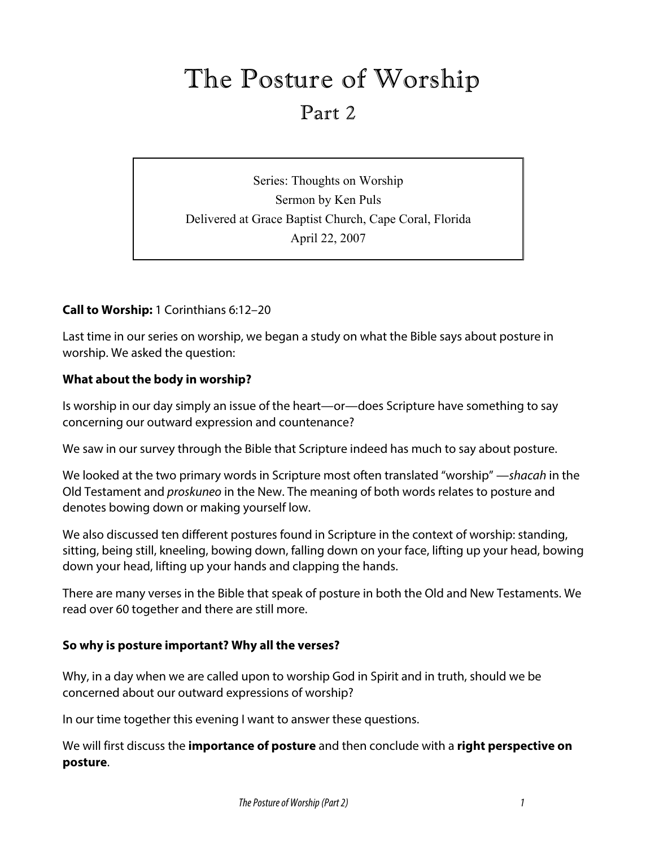# The Posture of Worship

# Part 2

Series: Thoughts on Worship Sermon by Ken Puls Delivered at Grace Baptist Church, Cape Coral, Florida April 22, 2007

# **Call to Worship:** 1 Corinthians 6:12–20

Last time in our series on worship, we began a study on what the Bible says about posture in worship. We asked the question:

### **What about the body in worship?**

Is worship in our day simply an issue of the heart—or—does Scripture have something to say concerning our outward expression and countenance?

We saw in our survey through the Bible that Scripture indeed has much to say about posture.

We looked at the two primary words in Scripture most often translated "worship" —*shacah* in the Old Testament and *proskuneo* in the New. The meaning of both words relates to posture and denotes bowing down or making yourself low.

We also discussed ten different postures found in Scripture in the context of worship: standing, sitting, being still, kneeling, bowing down, falling down on your face, lifting up your head, bowing down your head, lifting up your hands and clapping the hands.

There are many verses in the Bible that speak of posture in both the Old and New Testaments. We read over 60 together and there are still more.

#### **So why is posture important? Why all the verses?**

Why, in a day when we are called upon to worship God in Spirit and in truth, should we be concerned about our outward expressions of worship?

In our time together this evening I want to answer these questions.

We will first discuss the **importance of posture** and then conclude with a **right perspective on posture**.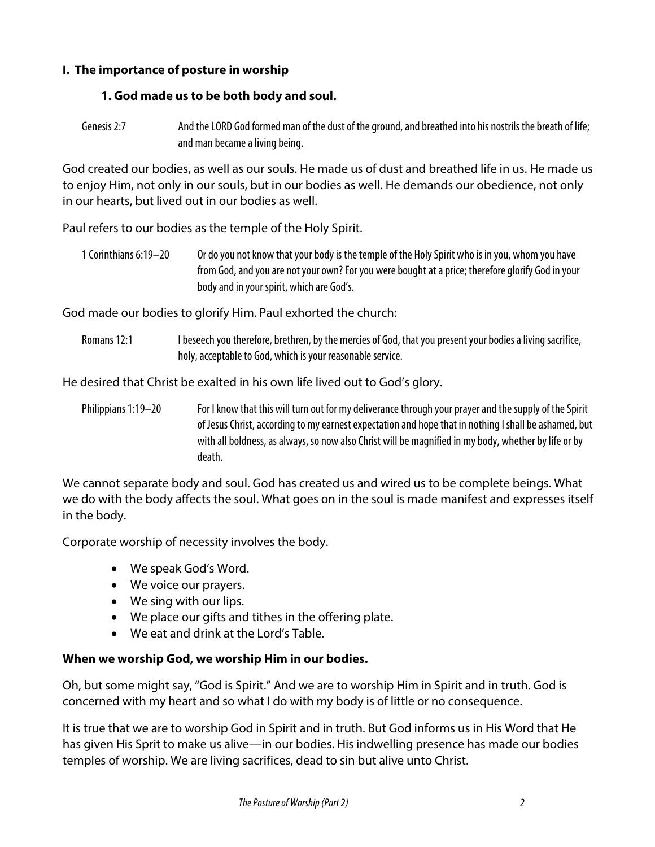# **I. The importance of posture in worship**

# **1. God made us to be both body and soul.**

Genesis 2:7 And the LORD God formed man of the dust of the ground, and breathed into his nostrils the breath of life; and man became a living being.

God created our bodies, as well as our souls. He made us of dust and breathed life in us. He made us to enjoy Him, not only in our souls, but in our bodies as well. He demands our obedience, not only in our hearts, but lived out in our bodies as well.

Paul refers to our bodies as the temple of the Holy Spirit.

1Corinthians 6:19–20 Or do you not know that your body is the temple of the Holy Spirit who is in you, whom you have from God, and you are not your own? For you were bought at a price; therefore glorify God in your body and in your spirit, which are God's.

God made our bodies to glorify Him. Paul exhorted the church:

Romans 12:1 I beseech you therefore, brethren, by the mercies of God, that you present your bodies a living sacrifice, holy, acceptable to God, which is your reasonable service.

He desired that Christ be exalted in his own life lived out to God's glory.

Philippians 1:19–20 For I know that this will turn out for my deliverance through your prayer and the supply of the Spirit of Jesus Christ, according to my earnest expectation and hope that in nothing I shall be ashamed, but with all boldness, as always, so now also Christ will be magnified in my body, whether by life or by death.

We cannot separate body and soul. God has created us and wired us to be complete beings. What we do with the body affects the soul. What goes on in the soul is made manifest and expresses itself in the body.

Corporate worship of necessity involves the body.

- We speak God's Word.
- We voice our prayers.
- We sing with our lips.
- We place our gifts and tithes in the offering plate.
- We eat and drink at the Lord's Table.

# **When we worship God, we worship Him in our bodies.**

Oh, but some might say, "God is Spirit." And we are to worship Him in Spirit and in truth. God is concerned with my heart and so what I do with my body is of little or no consequence.

It is true that we are to worship God in Spirit and in truth. But God informs us in His Word that He has given His Sprit to make us alive—in our bodies. His indwelling presence has made our bodies temples of worship. We are living sacrifices, dead to sin but alive unto Christ.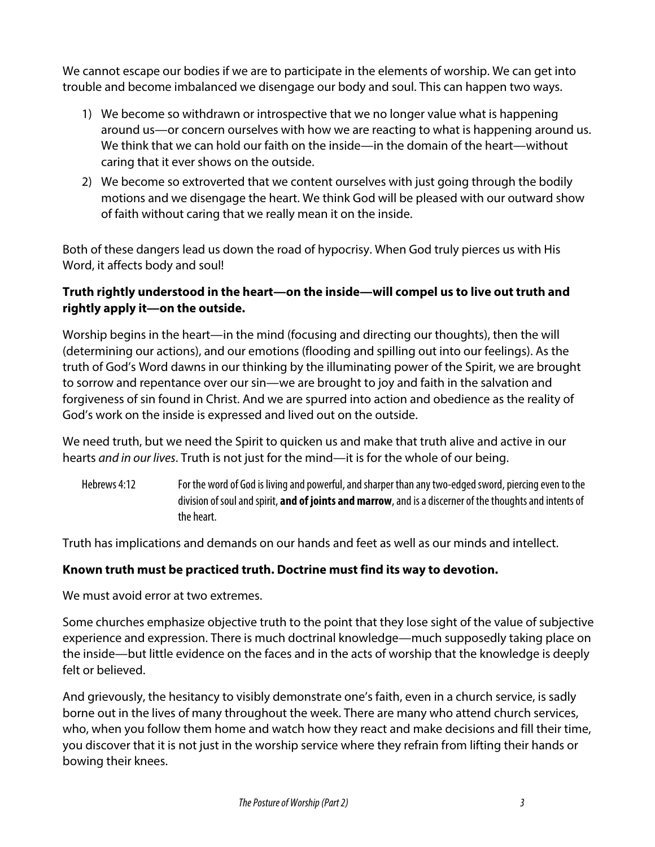We cannot escape our bodies if we are to participate in the elements of worship. We can get into trouble and become imbalanced we disengage our body and soul. This can happen two ways.

- 1) We become so withdrawn or introspective that we no longer value what is happening around us—or concern ourselves with how we are reacting to what is happening around us. We think that we can hold our faith on the inside—in the domain of the heart—without caring that it ever shows on the outside.
- 2) We become so extroverted that we content ourselves with just going through the bodily motions and we disengage the heart. We think God will be pleased with our outward show of faith without caring that we really mean it on the inside.

Both of these dangers lead us down the road of hypocrisy. When God truly pierces us with His Word, it affects body and soul!

# **Truth rightly understood in the heart—on the inside—will compel us to live out truth and rightly apply it—on the outside.**

Worship begins in the heart—in the mind (focusing and directing our thoughts), then the will (determining our actions), and our emotions (flooding and spilling out into our feelings). As the truth of God's Word dawns in our thinking by the illuminating power of the Spirit, we are brought to sorrow and repentance over our sin—we are brought to joy and faith in the salvation and forgiveness of sin found in Christ. And we are spurred into action and obedience as the reality of God's work on the inside is expressed and lived out on the outside.

We need truth, but we need the Spirit to quicken us and make that truth alive and active in our hearts *and in our lives*. Truth is not just for the mind—it is for the whole of our being.

Hebrews 4:12 For the word of God is living and powerful, and sharper than any two-edged sword, piercing even to the division of soul and spirit, **and of joints and marrow**, and is a discerner of the thoughts and intents of the heart.

Truth has implications and demands on our hands and feet as well as our minds and intellect.

# **Known truth must be practiced truth. Doctrine must find its way to devotion.**

We must avoid error at two extremes.

Some churches emphasize objective truth to the point that they lose sight of the value of subjective experience and expression. There is much doctrinal knowledge—much supposedly taking place on the inside—but little evidence on the faces and in the acts of worship that the knowledge is deeply felt or believed.

And grievously, the hesitancy to visibly demonstrate one's faith, even in a church service, is sadly borne out in the lives of many throughout the week. There are many who attend church services, who, when you follow them home and watch how they react and make decisions and fill their time, you discover that it is not just in the worship service where they refrain from lifting their hands or bowing their knees.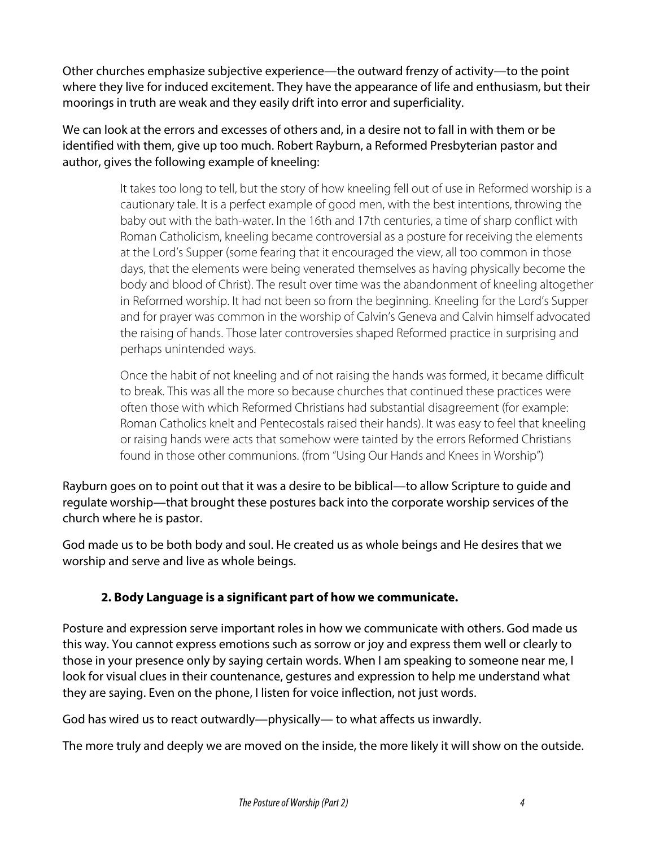Other churches emphasize subjective experience—the outward frenzy of activity—to the point where they live for induced excitement. They have the appearance of life and enthusiasm, but their moorings in truth are weak and they easily drift into error and superficiality.

We can look at the errors and excesses of others and, in a desire not to fall in with them or be identified with them, give up too much. Robert Rayburn, a Reformed Presbyterian pastor and author, gives the following example of kneeling:

> It takes too long to tell, but the story of how kneeling fell out of use in Reformed worship is a cautionary tale. It is a perfect example of good men, with the best intentions, throwing the baby out with the bath-water. In the 16th and 17th centuries, a time of sharp conflict with Roman Catholicism, kneeling became controversial as a posture for receiving the elements at the Lord's Supper (some fearing that it encouraged the view, all too common in those days, that the elements were being venerated themselves as having physically become the body and blood of Christ). The result over time was the abandonment of kneeling altogether in Reformed worship. It had not been so from the beginning. Kneeling for the Lord's Supper and for prayer was common in the worship of Calvin's Geneva and Calvin himself advocated the raising of hands. Those later controversies shaped Reformed practice in surprising and perhaps unintended ways.

Once the habit of not kneeling and of not raising the hands was formed, it became difficult to break. This was all the more so because churches that continued these practices were often those with which Reformed Christians had substantial disagreement (for example: Roman Catholics knelt and Pentecostals raised their hands). It was easy to feel that kneeling or raising hands were acts that somehow were tainted by the errors Reformed Christians found in those other communions. (from "Using Our Hands and Knees in Worship")

Rayburn goes on to point out that it was a desire to be biblical—to allow Scripture to guide and regulate worship—that brought these postures back into the corporate worship services of the church where he is pastor.

God made us to be both body and soul. He created us as whole beings and He desires that we worship and serve and live as whole beings.

# **2. Body Language is a significant part of how we communicate.**

Posture and expression serve important roles in how we communicate with others. God made us this way. You cannot express emotions such as sorrow or joy and express them well or clearly to those in your presence only by saying certain words. When I am speaking to someone near me, I look for visual clues in their countenance, gestures and expression to help me understand what they are saying. Even on the phone, I listen for voice inflection, not just words.

God has wired us to react outwardly—physically— to what affects us inwardly.

The more truly and deeply we are moved on the inside, the more likely it will show on the outside.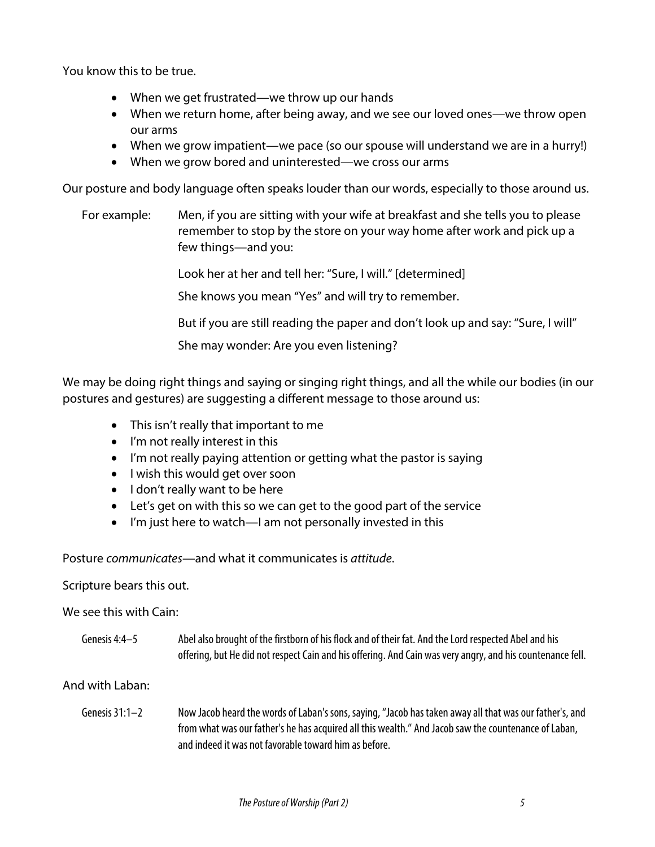You know this to be true.

- When we get frustrated—we throw up our hands
- When we return home, after being away, and we see our loved ones—we throw open our arms
- When we grow impatient—we pace (so our spouse will understand we are in a hurry!)
- When we grow bored and uninterested—we cross our arms

Our posture and body language often speaks louder than our words, especially to those around us.

For example: Men, if you are sitting with your wife at breakfast and she tells you to please remember to stop by the store on your way home after work and pick up a few things—and you:

Look her at her and tell her: "Sure, I will." [determined]

She knows you mean "Yes" and will try to remember.

But if you are still reading the paper and don't look up and say: "Sure, I will"

She may wonder: Are you even listening?

We may be doing right things and saying or singing right things, and all the while our bodies (in our postures and gestures) are suggesting a different message to those around us:

- This isn't really that important to me
- I'm not really interest in this
- I'm not really paying attention or getting what the pastor is saying
- I wish this would get over soon
- I don't really want to be here
- Let's get on with this so we can get to the good part of the service
- I'm just here to watch—I am not personally invested in this

Posture *communicates*—and what it communicates is *attitude*.

#### Scripture bears this out.

#### We see this with Cain:

Genesis 4:4–5 Abel also brought of the firstborn of his flock and of their fat. And the Lord respected Abel and his offering, but He did not respect Cain and his offering. And Cain was very angry, and his countenance fell.

#### And with Laban:

Genesis 31:1–2 Now Jacob heard the words of Laban's sons, saying, "Jacob has taken away all that was our father's, and from what was our father's he has acquired all this wealth." And Jacob saw the countenance of Laban, and indeed it was not favorable toward him as before.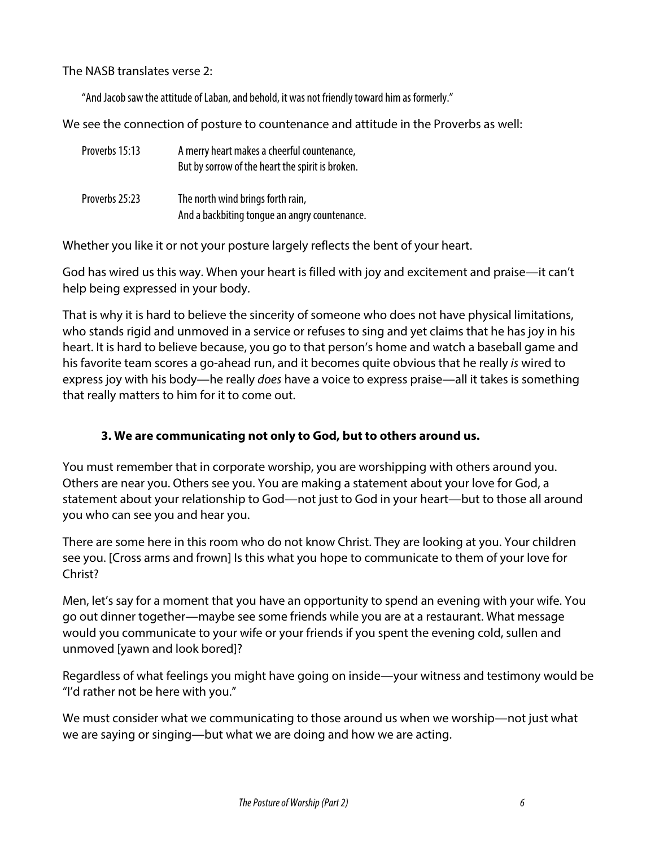The NASB translates verse 2:

"And Jacob saw the attitude of Laban, and behold, it was not friendly toward him as formerly."

We see the connection of posture to countenance and attitude in the Proverbs as well:

| Proverbs 15:13 | A merry heart makes a cheerful countenance,<br>But by sorrow of the heart the spirit is broken. |
|----------------|-------------------------------------------------------------------------------------------------|
| Proverbs 25:23 | The north wind brings forth rain,<br>And a backbiting tonque an angry countenance.              |

Whether you like it or not your posture largely reflects the bent of your heart.

God has wired us this way. When your heart is filled with joy and excitement and praise—it can't help being expressed in your body.

That is why it is hard to believe the sincerity of someone who does not have physical limitations, who stands rigid and unmoved in a service or refuses to sing and yet claims that he has joy in his heart. It is hard to believe because, you go to that person's home and watch a baseball game and his favorite team scores a go-ahead run, and it becomes quite obvious that he really *is* wired to express joy with his body—he really *does* have a voice to express praise—all it takes is something that really matters to him for it to come out.

# **3. We are communicating not only to God, but to others around us.**

You must remember that in corporate worship, you are worshipping with others around you. Others are near you. Others see you. You are making a statement about your love for God, a statement about your relationship to God—not just to God in your heart—but to those all around you who can see you and hear you.

There are some here in this room who do not know Christ. They are looking at you. Your children see you. [Cross arms and frown] Is this what you hope to communicate to them of your love for Christ?

Men, let's say for a moment that you have an opportunity to spend an evening with your wife. You go out dinner together—maybe see some friends while you are at a restaurant. What message would you communicate to your wife or your friends if you spent the evening cold, sullen and unmoved [yawn and look bored]?

Regardless of what feelings you might have going on inside—your witness and testimony would be "I'd rather not be here with you."

We must consider what we communicating to those around us when we worship—not just what we are saying or singing—but what we are doing and how we are acting.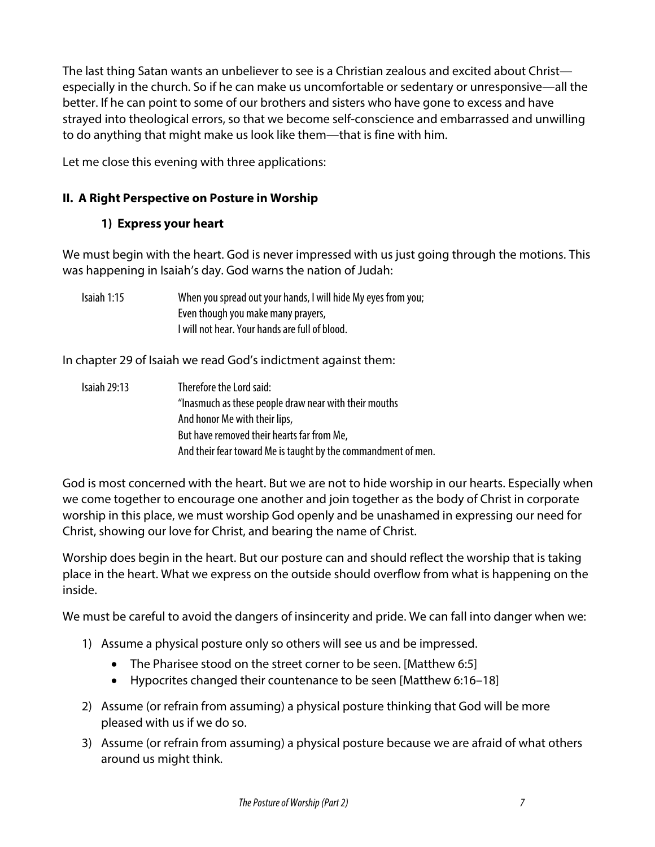The last thing Satan wants an unbeliever to see is a Christian zealous and excited about Christ especially in the church. So if he can make us uncomfortable or sedentary or unresponsive—all the better. If he can point to some of our brothers and sisters who have gone to excess and have strayed into theological errors, so that we become self-conscience and embarrassed and unwilling to do anything that might make us look like them—that is fine with him.

Let me close this evening with three applications:

# **II. A Right Perspective on Posture in Worship**

# **1) Express your heart**

We must begin with the heart. God is never impressed with us just going through the motions. This was happening in Isaiah's day. God warns the nation of Judah:

| Isaiah 1:15 | When you spread out your hands, I will hide My eyes from you; |
|-------------|---------------------------------------------------------------|
|             | Even though you make many prayers,                            |
|             | I will not hear. Your hands are full of blood.                |

In chapter 29 of Isaiah we read God's indictment against them:

| <b>Isaiah 29:13</b> | Therefore the Lord said:                                      |
|---------------------|---------------------------------------------------------------|
|                     | "Inasmuch as these people draw near with their mouths         |
|                     | And honor Me with their lips,                                 |
|                     | But have removed their hearts far from Me,                    |
|                     | And their fear toward Me is taught by the commandment of men. |

God is most concerned with the heart. But we are not to hide worship in our hearts. Especially when we come together to encourage one another and join together as the body of Christ in corporate worship in this place, we must worship God openly and be unashamed in expressing our need for Christ, showing our love for Christ, and bearing the name of Christ.

Worship does begin in the heart. But our posture can and should reflect the worship that is taking place in the heart. What we express on the outside should overflow from what is happening on the inside.

We must be careful to avoid the dangers of insincerity and pride. We can fall into danger when we:

- 1) Assume a physical posture only so others will see us and be impressed.
	- The Pharisee stood on the street corner to be seen. [Matthew 6:5]
	- Hypocrites changed their countenance to be seen [Matthew 6:16–18]
- 2) Assume (or refrain from assuming) a physical posture thinking that God will be more pleased with us if we do so.
- 3) Assume (or refrain from assuming) a physical posture because we are afraid of what others around us might think.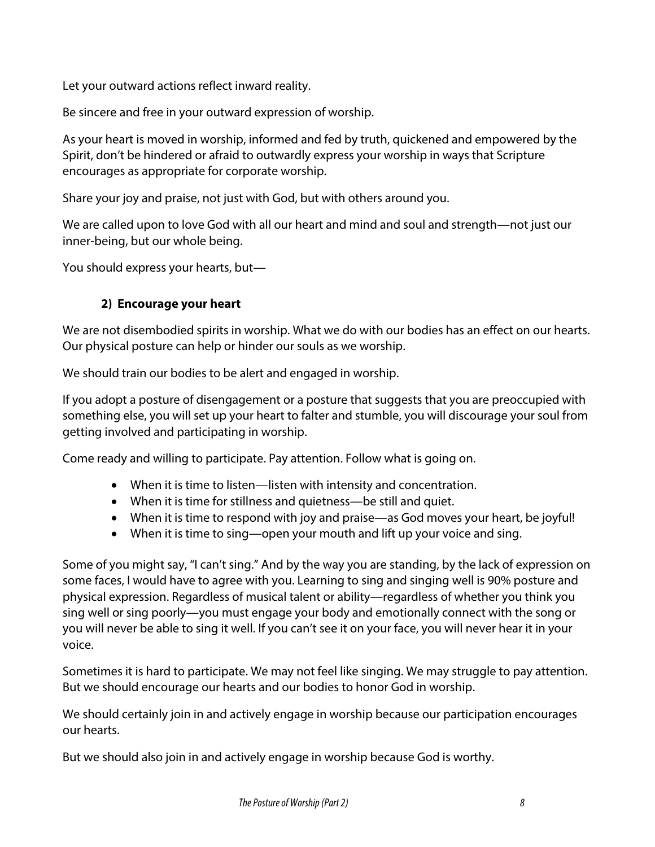Let your outward actions reflect inward reality.

Be sincere and free in your outward expression of worship.

As your heart is moved in worship, informed and fed by truth, quickened and empowered by the Spirit, don't be hindered or afraid to outwardly express your worship in ways that Scripture encourages as appropriate for corporate worship.

Share your joy and praise, not just with God, but with others around you.

We are called upon to love God with all our heart and mind and soul and strength—not just our inner-being, but our whole being.

You should express your hearts, but—

# **2) Encourage your heart**

We are not disembodied spirits in worship. What we do with our bodies has an effect on our hearts. Our physical posture can help or hinder our souls as we worship.

We should train our bodies to be alert and engaged in worship.

If you adopt a posture of disengagement or a posture that suggests that you are preoccupied with something else, you will set up your heart to falter and stumble, you will discourage your soul from getting involved and participating in worship.

Come ready and willing to participate. Pay attention. Follow what is going on.

- When it is time to listen—listen with intensity and concentration.
- When it is time for stillness and quietness—be still and quiet.
- When it is time to respond with joy and praise—as God moves your heart, be joyful!
- When it is time to sing—open your mouth and lift up your voice and sing.

Some of you might say, "I can't sing." And by the way you are standing, by the lack of expression on some faces, I would have to agree with you. Learning to sing and singing well is 90% posture and physical expression. Regardless of musical talent or ability—regardless of whether you think you sing well or sing poorly—you must engage your body and emotionally connect with the song or you will never be able to sing it well. If you can't see it on your face, you will never hear it in your voice.

Sometimes it is hard to participate. We may not feel like singing. We may struggle to pay attention. But we should encourage our hearts and our bodies to honor God in worship.

We should certainly join in and actively engage in worship because our participation encourages our hearts.

But we should also join in and actively engage in worship because God is worthy.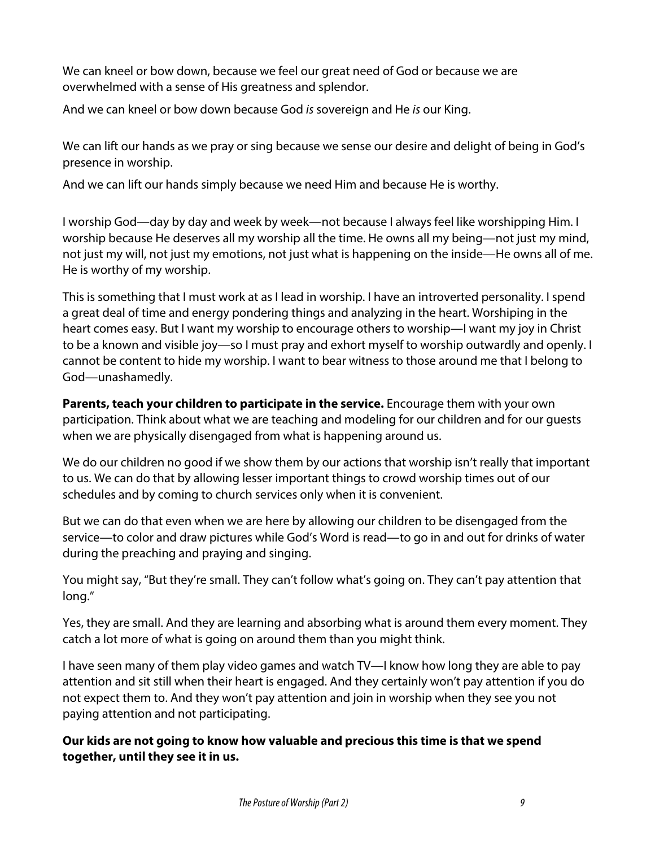We can kneel or bow down, because we feel our great need of God or because we are overwhelmed with a sense of His greatness and splendor.

And we can kneel or bow down because God *is* sovereign and He *is* our King.

We can lift our hands as we pray or sing because we sense our desire and delight of being in God's presence in worship.

And we can lift our hands simply because we need Him and because He is worthy.

I worship God—day by day and week by week—not because I always feel like worshipping Him. I worship because He deserves all my worship all the time. He owns all my being—not just my mind, not just my will, not just my emotions, not just what is happening on the inside—He owns all of me. He is worthy of my worship.

This is something that I must work at as I lead in worship. I have an introverted personality. I spend a great deal of time and energy pondering things and analyzing in the heart. Worshiping in the heart comes easy. But I want my worship to encourage others to worship—I want my joy in Christ to be a known and visible joy—so I must pray and exhort myself to worship outwardly and openly. I cannot be content to hide my worship. I want to bear witness to those around me that I belong to God—unashamedly.

**Parents, teach your children to participate in the service.** Encourage them with your own participation. Think about what we are teaching and modeling for our children and for our guests when we are physically disengaged from what is happening around us.

We do our children no good if we show them by our actions that worship isn't really that important to us. We can do that by allowing lesser important things to crowd worship times out of our schedules and by coming to church services only when it is convenient.

But we can do that even when we are here by allowing our children to be disengaged from the service—to color and draw pictures while God's Word is read—to go in and out for drinks of water during the preaching and praying and singing.

You might say, "But they're small. They can't follow what's going on. They can't pay attention that long."

Yes, they are small. And they are learning and absorbing what is around them every moment. They catch a lot more of what is going on around them than you might think.

I have seen many of them play video games and watch TV—I know how long they are able to pay attention and sit still when their heart is engaged. And they certainly won't pay attention if you do not expect them to. And they won't pay attention and join in worship when they see you not paying attention and not participating.

**Our kids are not going to know how valuable and precious this time is that we spend together, until they see it in us.**